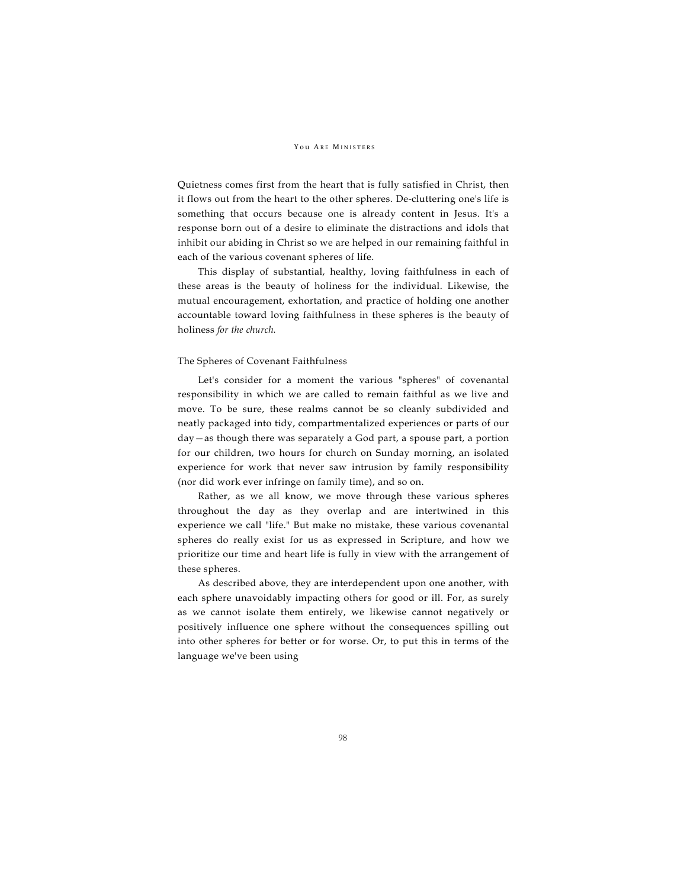### YOU ARE MINISTERS

Quietness comes first from the heart that is fully satisfied in Christ, then it flows out from the heart to the other spheres. De-cluttering one's life is something that occurs because one is already content in Jesus. It's a response born out of a desire to eliminate the distractions and idols that inhibit our abiding in Christ so we are helped in our remaining faithful in each of the various covenant spheres of life.

This display of substantial, healthy, loving faithfulness in each of these areas is the beauty of holiness for the individual. Likewise, the mutual encouragement, exhortation, and practice of holding one another accountable toward loving faithfulness in these spheres is the beauty of holiness *for the church.*

### The Spheres of Covenant Faithfulness

Let's consider for a moment the various "spheres" of covenantal responsibility in which we are called to remain faithful as we live and move. To be sure, these realms cannot be so cleanly subdivided and neatly packaged into tidy, compartmentalized experiences or parts of our day—as though there was separately a God part, a spouse part, a portion for our children, two hours for church on Sunday morning, an isolated experience for work that never saw intrusion by family responsibility (nor did work ever infringe on family time), and so on.

Rather, as we all know, we move through these various spheres throughout the day as they overlap and are intertwined in this experience we call "life." But make no mistake, these various covenantal spheres do really exist for us as expressed in Scripture, and how we prioritize our time and heart life is fully in view with the arrangement of these spheres.

As described above, they are interdependent upon one another, with each sphere unavoidably impacting others for good or ill. For, as surely as we cannot isolate them entirely, we likewise cannot negatively or positively influence one sphere without the consequences spilling out into other spheres for better or for worse. Or, to put this in terms of the language we've been using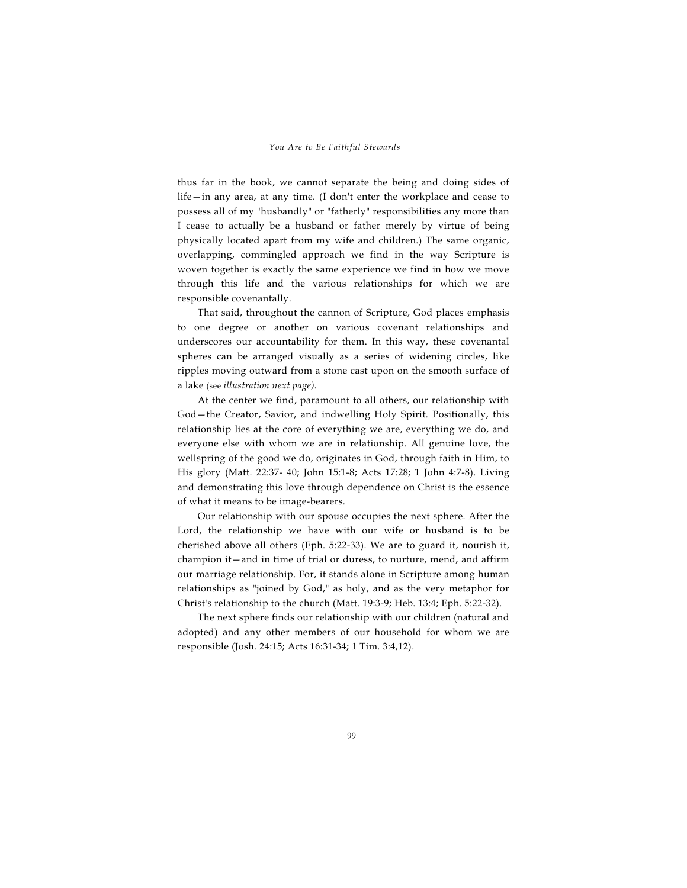thus far in the book, we cannot separate the being and doing sides of life—in any area, at any time. (I don't enter the workplace and cease to possess all of my "husbandly" or "fatherly" responsibilities any more than I cease to actually be a husband or father merely by virtue of being physically located apart from my wife and children.) The same organic, overlapping, commingled approach we find in the way Scripture is woven together is exactly the same experience we find in how we move through this life and the various relationships for which we are responsible covenantally.

That said, throughout the cannon of Scripture, God places emphasis to one degree or another on various covenant relationships and underscores our accountability for them. In this way, these covenantal spheres can be arranged visually as a series of widening circles, like ripples moving outward from a stone cast upon on the smooth surface of a lake (see *illustration next page).*

At the center we find, paramount to all others, our relationship with God—the Creator, Savior, and indwelling Holy Spirit. Positionally, this relationship lies at the core of everything we are, everything we do, and everyone else with whom we are in relationship. All genuine love, the wellspring of the good we do, originates in God, through faith in Him, to His glory (Matt. 22:37- 40; John 15:1-8; Acts 17:28; 1 John 4:7-8). Living and demonstrating this love through dependence on Christ is the essence of what it means to be image-bearers.

Our relationship with our spouse occupies the next sphere. After the Lord, the relationship we have with our wife or husband is to be cherished above all others (Eph. 5:22-33). We are to guard it, nourish it, champion it—and in time of trial or duress, to nurture, mend, and affirm our marriage relationship. For, it stands alone in Scripture among human relationships as "joined by God," as holy, and as the very metaphor for Christ's relationship to the church (Matt. 19:3-9; Heb. 13:4; Eph. 5:22-32).

The next sphere finds our relationship with our children (natural and adopted) and any other members of our household for whom we are responsible (Josh. 24:15; Acts 16:31-34; 1 Tim. 3:4,12).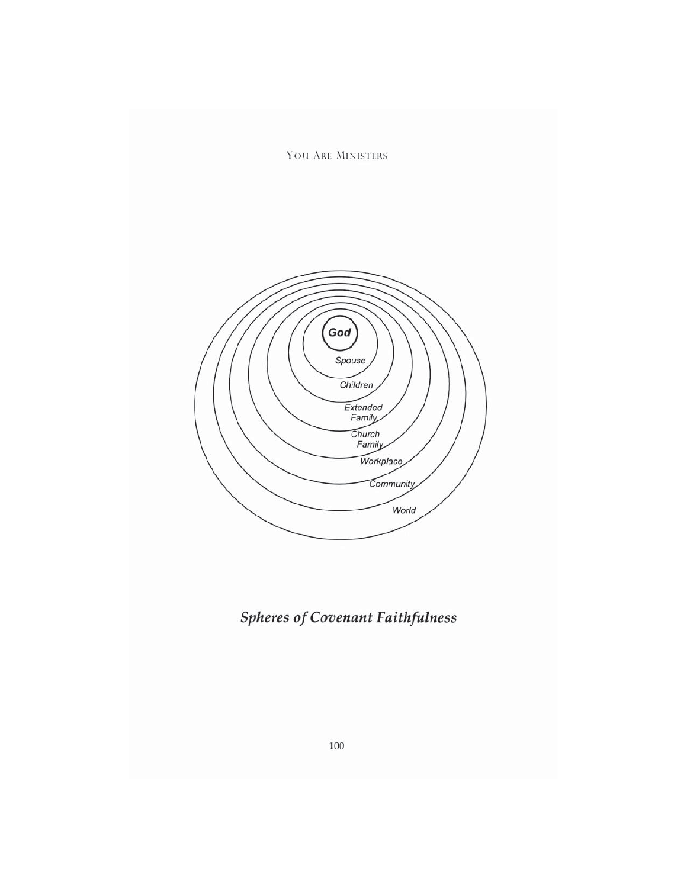YOU ARE MINISTERS



*Spheres of Covenant Faithfulness*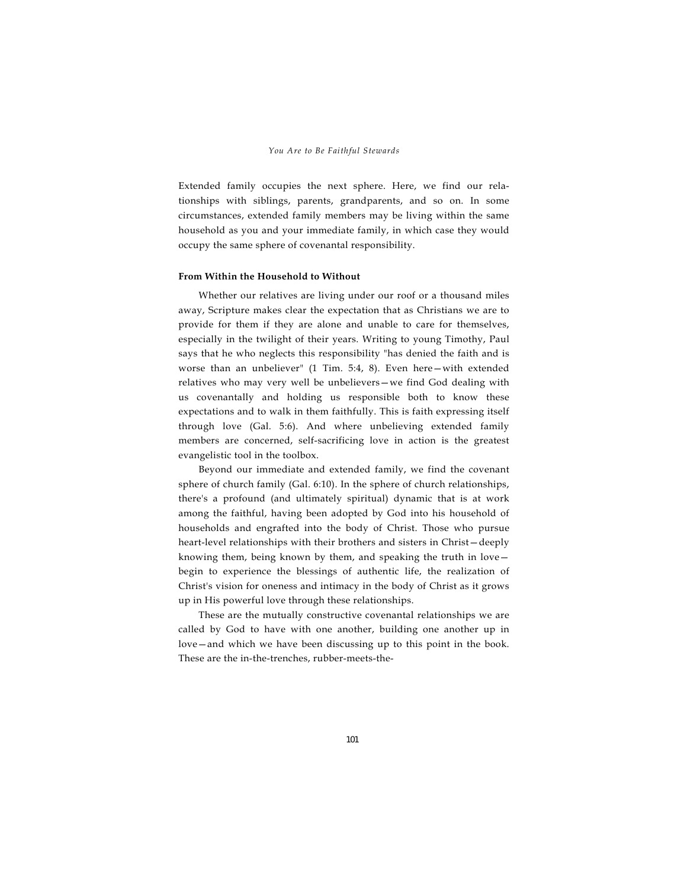Extended family occupies the next sphere. Here, we find our relationships with siblings, parents, grandparents, and so on. In some circumstances, extended family members may be living within the same household as you and your immediate family, in which case they would occupy the same sphere of covenantal responsibility.

### **From Within the Household to Without**

Whether our relatives are living under our roof or a thousand miles away, Scripture makes clear the expectation that as Christians we are to provide for them if they are alone and unable to care for themselves, especially in the twilight of their years. Writing to young Timothy, Paul says that he who neglects this responsibility "has denied the faith and is worse than an unbeliever" (1 Tim. 5:4, 8). Even here—with extended relatives who may very well be unbelievers—we find God dealing with us covenantally and holding us responsible both to know these expectations and to walk in them faithfully. This is faith expressing itself through love (Gal. 5:6). And where unbelieving extended family members are concerned, self-sacrificing love in action is the greatest evangelistic tool in the toolbox.

Beyond our immediate and extended family, we find the covenant sphere of church family (Gal. 6:10). In the sphere of church relationships, there's a profound (and ultimately spiritual) dynamic that is at work among the faithful, having been adopted by God into his household of households and engrafted into the body of Christ. Those who pursue heart-level relationships with their brothers and sisters in Christ—deeply knowing them, being known by them, and speaking the truth in love begin to experience the blessings of authentic life, the realization of Christ's vision for oneness and intimacy in the body of Christ as it grows up in His powerful love through these relationships.

These are the mutually constructive covenantal relationships we are called by God to have with one another, building one another up in love—and which we have been discussing up to this point in the book. These are the in-the-trenches, rubber-meets-the-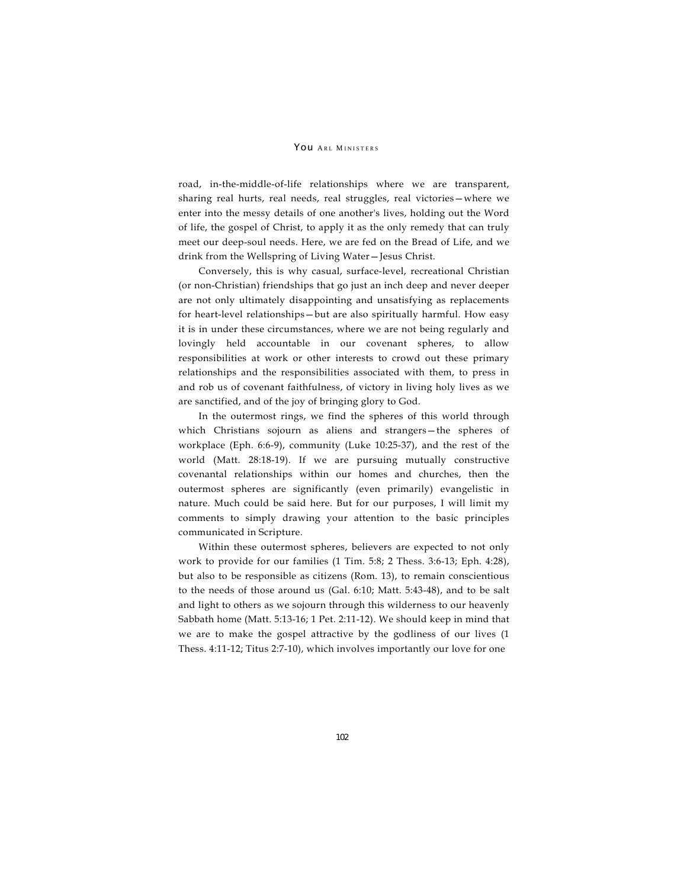### YOU ARL MINISTERS

road, in-the-middle-of-life relationships where we are transparent, sharing real hurts, real needs, real struggles, real victories—where we enter into the messy details of one another's lives, holding out the Word of life, the gospel of Christ, to apply it as the only remedy that can truly meet our deep-soul needs. Here, we are fed on the Bread of Life, and we drink from the Wellspring of Living Water—Jesus Christ.

Conversely, this is why casual, surface-level, recreational Christian (or non-Christian) friendships that go just an inch deep and never deeper are not only ultimately disappointing and unsatisfying as replacements for heart-level relationships—but are also spiritually harmful. How easy it is in under these circumstances, where we are not being regularly and lovingly held accountable in our covenant spheres, to allow responsibilities at work or other interests to crowd out these primary relationships and the responsibilities associated with them, to press in and rob us of covenant faithfulness, of victory in living holy lives as we are sanctified, and of the joy of bringing glory to God.

In the outermost rings, we find the spheres of this world through which Christians sojourn as aliens and strangers—the spheres of workplace (Eph. 6:6-9), community (Luke 10:25-37), and the rest of the world (Matt. 28:18-19). If we are pursuing mutually constructive covenantal relationships within our homes and churches, then the outermost spheres are significantly (even primarily) evangelistic in nature. Much could be said here. But for our purposes, I will limit my comments to simply drawing your attention to the basic principles communicated in Scripture.

Within these outermost spheres, believers are expected to not only work to provide for our families (1 Tim. 5:8; 2 Thess. 3:6-13; Eph. 4:28), but also to be responsible as citizens (Rom. 13), to remain conscientious to the needs of those around us (Gal. 6:10; Matt. 5:43-48), and to be salt and light to others as we sojourn through this wilderness to our heavenly Sabbath home (Matt. 5:13-16; 1 Pet. 2:11-12). We should keep in mind that we are to make the gospel attractive by the godliness of our lives (1 Thess. 4:11-12; Titus 2:7-10), which involves importantly our love for one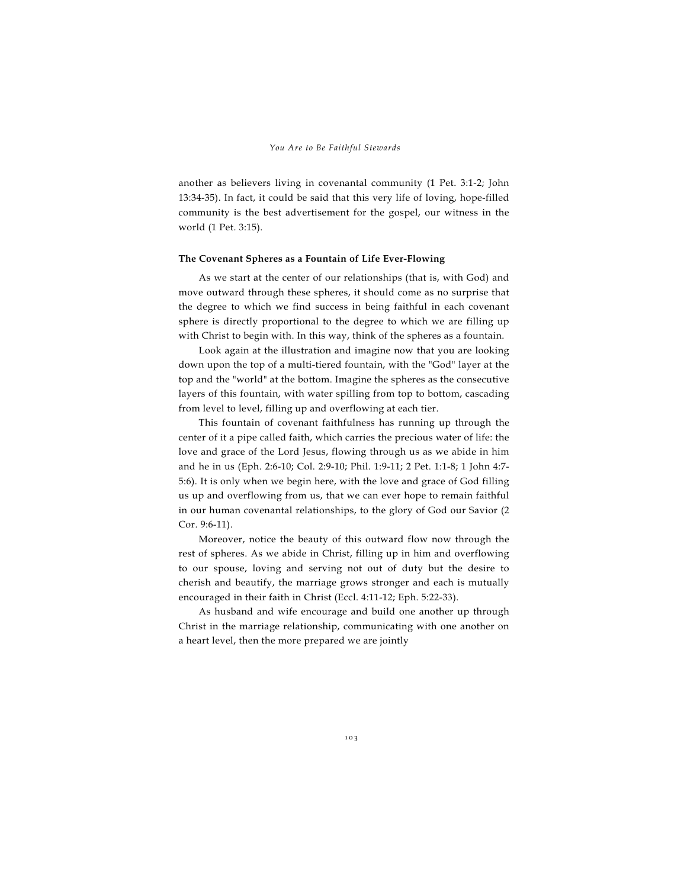another as believers living in covenantal community (1 Pet. 3:1-2; John 13:34-35). In fact, it could be said that this very life of loving, hope-filled community is the best advertisement for the gospel, our witness in the world (1 Pet. 3:15).

### **The Covenant Spheres as a Fountain of Life Ever-Flowing**

As we start at the center of our relationships (that is, with God) and move outward through these spheres, it should come as no surprise that the degree to which we find success in being faithful in each covenant sphere is directly proportional to the degree to which we are filling up with Christ to begin with. In this way, think of the spheres as a fountain.

Look again at the illustration and imagine now that you are looking down upon the top of a multi-tiered fountain, with the "God" layer at the top and the "world" at the bottom. Imagine the spheres as the consecutive layers of this fountain, with water spilling from top to bottom, cascading from level to level, filling up and overflowing at each tier.

This fountain of covenant faithfulness has running up through the center of it a pipe called faith, which carries the precious water of life: the love and grace of the Lord Jesus, flowing through us as we abide in him and he in us (Eph. 2:6-10; Col. 2:9-10; Phil. 1:9-11; 2 Pet. 1:1-8; 1 John 4:7- 5:6). It is only when we begin here, with the love and grace of God filling us up and overflowing from us, that we can ever hope to remain faithful in our human covenantal relationships, to the glory of God our Savior (2 Cor. 9:6-11).

Moreover, notice the beauty of this outward flow now through the rest of spheres. As we abide in Christ, filling up in him and overflowing to our spouse, loving and serving not out of duty but the desire to cherish and beautify, the marriage grows stronger and each is mutually encouraged in their faith in Christ (Eccl. 4:11-12; Eph. 5:22-33).

As husband and wife encourage and build one another up through Christ in the marriage relationship, communicating with one another on a heart level, then the more prepared we are jointly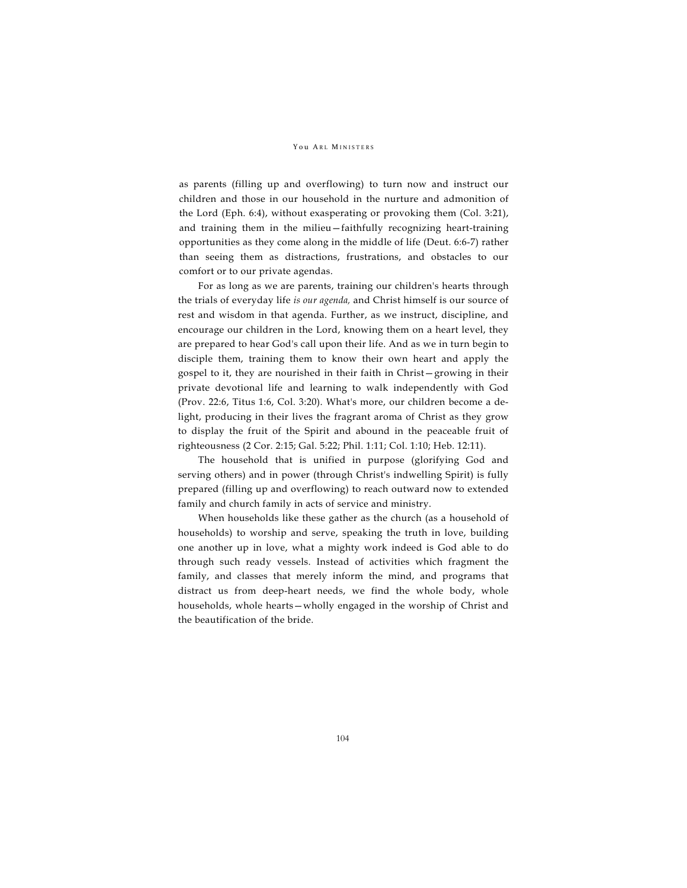#### YOU ARL MINISTERS

as parents (filling up and overflowing) to turn now and instruct our children and those in our household in the nurture and admonition of the Lord (Eph. 6:4), without exasperating or provoking them (Col. 3:21), and training them in the milieu—faithfully recognizing heart-training opportunities as they come along in the middle of life (Deut. 6:6-7) rather than seeing them as distractions, frustrations, and obstacles to our comfort or to our private agendas.

For as long as we are parents, training our children's hearts through the trials of everyday life *is our agenda,* and Christ himself is our source of rest and wisdom in that agenda. Further, as we instruct, discipline, and encourage our children in the Lord, knowing them on a heart level, they are prepared to hear God's call upon their life. And as we in turn begin to disciple them, training them to know their own heart and apply the gospel to it, they are nourished in their faith in Christ—growing in their private devotional life and learning to walk independently with God (Prov. 22:6, Titus 1:6, Col. 3:20). What's more, our children become a delight, producing in their lives the fragrant aroma of Christ as they grow to display the fruit of the Spirit and abound in the peaceable fruit of righteousness (2 Cor. 2:15; Gal. 5:22; Phil. 1:11; Col. 1:10; Heb. 12:11).

The household that is unified in purpose (glorifying God and serving others) and in power (through Christ's indwelling Spirit) is fully prepared (filling up and overflowing) to reach outward now to extended family and church family in acts of service and ministry.

When households like these gather as the church (as a household of households) to worship and serve, speaking the truth in love, building one another up in love, what a mighty work indeed is God able to do through such ready vessels. Instead of activities which fragment the family, and classes that merely inform the mind, and programs that distract us from deep-heart needs, we find the whole body, whole households, whole hearts—wholly engaged in the worship of Christ and the beautification of the bride.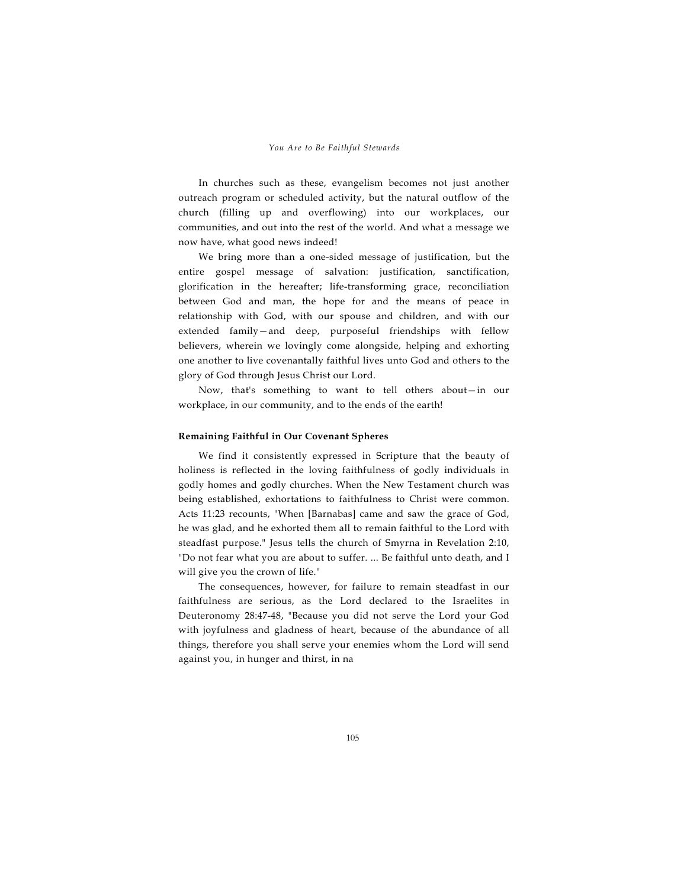In churches such as these, evangelism becomes not just another outreach program or scheduled activity, but the natural outflow of the church (filling up and overflowing) into our workplaces, our communities, and out into the rest of the world. And what a message we now have, what good news indeed!

We bring more than a one-sided message of justification, but the entire gospel message of salvation: justification, sanctification, glorification in the hereafter; life-transforming grace, reconciliation between God and man, the hope for and the means of peace in relationship with God, with our spouse and children, and with our extended family—and deep, purposeful friendships with fellow believers, wherein we lovingly come alongside, helping and exhorting one another to live covenantally faithful lives unto God and others to the glory of God through Jesus Christ our Lord.

Now, that's something to want to tell others about—in our workplace, in our community, and to the ends of the earth!

# **Remaining Faithful in Our Covenant Spheres**

We find it consistently expressed in Scripture that the beauty of holiness is reflected in the loving faithfulness of godly individuals in godly homes and godly churches. When the New Testament church was being established, exhortations to faithfulness to Christ were common. Acts 11:23 recounts, "When [Barnabas] came and saw the grace of God, he was glad, and he exhorted them all to remain faithful to the Lord with steadfast purpose." Jesus tells the church of Smyrna in Revelation 2:10, "Do not fear what you are about to suffer. ... Be faithful unto death, and I will give you the crown of life."

The consequences, however, for failure to remain steadfast in our faithfulness are serious, as the Lord declared to the Israelites in Deuteronomy 28:47-48, "Because you did not serve the Lord your God with joyfulness and gladness of heart, because of the abundance of all things, therefore you shall serve your enemies whom the Lord will send against you, in hunger and thirst, in na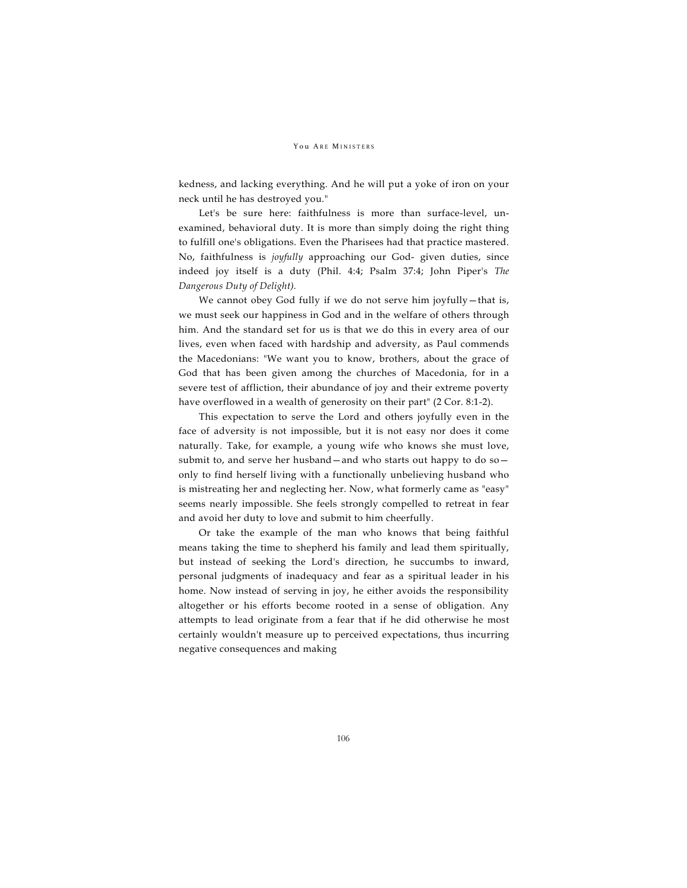## YOU ARE MINISTERS

kedness, and lacking everything. And he will put a yoke of iron on your neck until he has destroyed you."

Let's be sure here: faithfulness is more than surface-level, unexamined, behavioral duty. It is more than simply doing the right thing to fulfill one's obligations. Even the Pharisees had that practice mastered. No, faithfulness is *joyfully* approaching our God- given duties, since indeed joy itself is a duty (Phil. 4:4; Psalm 37:4; John Piper's *The Dangerous Duty of Delight).*

We cannot obey God fully if we do not serve him joyfully—that is, we must seek our happiness in God and in the welfare of others through him. And the standard set for us is that we do this in every area of our lives, even when faced with hardship and adversity, as Paul commends the Macedonians: "We want you to know, brothers, about the grace of God that has been given among the churches of Macedonia, for in a severe test of affliction, their abundance of joy and their extreme poverty have overflowed in a wealth of generosity on their part" (2 Cor. 8:1-2).

This expectation to serve the Lord and others joyfully even in the face of adversity is not impossible, but it is not easy nor does it come naturally. Take, for example, a young wife who knows she must love, submit to, and serve her husband—and who starts out happy to do so only to find herself living with a functionally unbelieving husband who is mistreating her and neglecting her. Now, what formerly came as "easy" seems nearly impossible. She feels strongly compelled to retreat in fear and avoid her duty to love and submit to him cheerfully.

Or take the example of the man who knows that being faithful means taking the time to shepherd his family and lead them spiritually, but instead of seeking the Lord's direction, he succumbs to inward, personal judgments of inadequacy and fear as a spiritual leader in his home. Now instead of serving in joy, he either avoids the responsibility altogether or his efforts become rooted in a sense of obligation. Any attempts to lead originate from a fear that if he did otherwise he most certainly wouldn't measure up to perceived expectations, thus incurring negative consequences and making